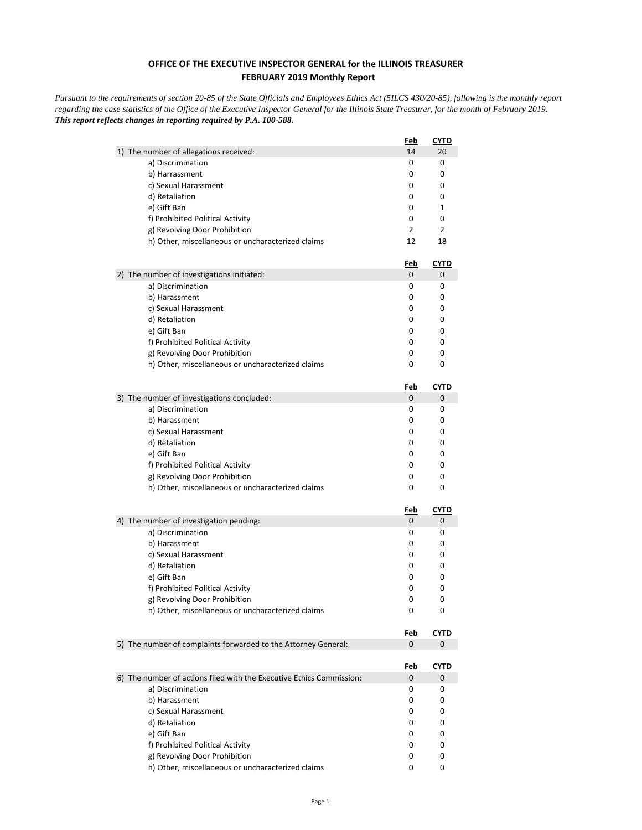## **OFFICE OF THE EXECUTIVE INSPECTOR GENERAL for the ILLINOIS TREASURER FEBRUARY 2019 Monthly Report**

*Pursuant to the requirements of section 20-85 of the State Officials and Employees Ethics Act (5ILCS 430/20-85), following is the monthly report regarding the case statistics of the Office of the Executive Inspector General for the Illinois State Treasurer, for the month of February 2019. This report reflects changes in reporting required by P.A. 100-588.*

| 1) The number of allegations received:<br>14<br>20<br>a) Discrimination<br>0<br>0<br>b) Harrassment<br>0<br>0<br>0<br>c) Sexual Harassment<br>0<br>d) Retaliation<br>0<br>0<br>0<br>e) Gift Ban<br>1<br>f) Prohibited Political Activity<br>0<br>0<br>2<br>2<br>g) Revolving Door Prohibition<br>h) Other, miscellaneous or uncharacterized claims<br>12<br>18<br><u>CYTD</u><br><u>Feb</u><br>2) The number of investigations initiated:<br>0<br>0<br>0<br>a) Discrimination<br>0<br>b) Harassment<br>0<br>0<br>0<br>c) Sexual Harassment<br>0<br>d) Retaliation<br>0<br>0<br>e) Gift Ban<br>0<br>0<br>f) Prohibited Political Activity<br>0<br>0<br>g) Revolving Door Prohibition<br>0<br>0<br>h) Other, miscellaneous or uncharacterized claims<br>0<br>0<br>CYTD<br>Feb<br>3) The number of investigations concluded:<br>0<br>0<br>a) Discrimination<br>0<br>0<br>b) Harassment<br>0<br>0<br>c) Sexual Harassment<br>0<br>0<br>d) Retaliation<br>0<br>0<br>e) Gift Ban<br>0<br>0<br>f) Prohibited Political Activity<br>0<br>0<br>g) Revolving Door Prohibition<br>0<br>0<br>h) Other, miscellaneous or uncharacterized claims<br>0<br>0<br><b>CYTD</b><br><u>Feb</u><br>0<br>4) The number of investigation pending:<br>0<br>0<br>a) Discrimination<br>0<br>b) Harassment<br>0<br>0<br>c) Sexual Harassment<br>0<br>0<br>d) Retaliation<br>0<br>0<br>e) Gift Ban<br>0<br>0<br>f) Prohibited Political Activity<br>0<br>0<br>g) Revolving Door Prohibition<br>0<br>0<br>h) Other, miscellaneous or uncharacterized claims<br>0<br>0<br><b>CYTD</b><br><u>Feb</u><br>5) The number of complaints forwarded to the Attorney General:<br>0<br>0<br><u>Feb</u><br><b>CYTD</b><br>6) The number of actions filed with the Executive Ethics Commission:<br>0<br>0<br>a) Discrimination<br>0<br>0<br>b) Harassment<br>0<br>0<br>c) Sexual Harassment<br>0<br>0<br>d) Retaliation<br>0<br>0<br>e) Gift Ban<br>0<br>0<br>f) Prohibited Political Activity<br>0<br>0<br>g) Revolving Door Prohibition<br>0<br>0 |                                                   | <u>Feb</u> | <b>CYTD</b> |
|-----------------------------------------------------------------------------------------------------------------------------------------------------------------------------------------------------------------------------------------------------------------------------------------------------------------------------------------------------------------------------------------------------------------------------------------------------------------------------------------------------------------------------------------------------------------------------------------------------------------------------------------------------------------------------------------------------------------------------------------------------------------------------------------------------------------------------------------------------------------------------------------------------------------------------------------------------------------------------------------------------------------------------------------------------------------------------------------------------------------------------------------------------------------------------------------------------------------------------------------------------------------------------------------------------------------------------------------------------------------------------------------------------------------------------------------------------------------------------------------------------------------------------------------------------------------------------------------------------------------------------------------------------------------------------------------------------------------------------------------------------------------------------------------------------------------------------------------------------------------------------------------------------------------------------------------------------------------------------------------------------------|---------------------------------------------------|------------|-------------|
|                                                                                                                                                                                                                                                                                                                                                                                                                                                                                                                                                                                                                                                                                                                                                                                                                                                                                                                                                                                                                                                                                                                                                                                                                                                                                                                                                                                                                                                                                                                                                                                                                                                                                                                                                                                                                                                                                                                                                                                                           |                                                   |            |             |
|                                                                                                                                                                                                                                                                                                                                                                                                                                                                                                                                                                                                                                                                                                                                                                                                                                                                                                                                                                                                                                                                                                                                                                                                                                                                                                                                                                                                                                                                                                                                                                                                                                                                                                                                                                                                                                                                                                                                                                                                           |                                                   |            |             |
|                                                                                                                                                                                                                                                                                                                                                                                                                                                                                                                                                                                                                                                                                                                                                                                                                                                                                                                                                                                                                                                                                                                                                                                                                                                                                                                                                                                                                                                                                                                                                                                                                                                                                                                                                                                                                                                                                                                                                                                                           |                                                   |            |             |
|                                                                                                                                                                                                                                                                                                                                                                                                                                                                                                                                                                                                                                                                                                                                                                                                                                                                                                                                                                                                                                                                                                                                                                                                                                                                                                                                                                                                                                                                                                                                                                                                                                                                                                                                                                                                                                                                                                                                                                                                           |                                                   |            |             |
|                                                                                                                                                                                                                                                                                                                                                                                                                                                                                                                                                                                                                                                                                                                                                                                                                                                                                                                                                                                                                                                                                                                                                                                                                                                                                                                                                                                                                                                                                                                                                                                                                                                                                                                                                                                                                                                                                                                                                                                                           |                                                   |            |             |
|                                                                                                                                                                                                                                                                                                                                                                                                                                                                                                                                                                                                                                                                                                                                                                                                                                                                                                                                                                                                                                                                                                                                                                                                                                                                                                                                                                                                                                                                                                                                                                                                                                                                                                                                                                                                                                                                                                                                                                                                           |                                                   |            |             |
|                                                                                                                                                                                                                                                                                                                                                                                                                                                                                                                                                                                                                                                                                                                                                                                                                                                                                                                                                                                                                                                                                                                                                                                                                                                                                                                                                                                                                                                                                                                                                                                                                                                                                                                                                                                                                                                                                                                                                                                                           |                                                   |            |             |
|                                                                                                                                                                                                                                                                                                                                                                                                                                                                                                                                                                                                                                                                                                                                                                                                                                                                                                                                                                                                                                                                                                                                                                                                                                                                                                                                                                                                                                                                                                                                                                                                                                                                                                                                                                                                                                                                                                                                                                                                           |                                                   |            |             |
|                                                                                                                                                                                                                                                                                                                                                                                                                                                                                                                                                                                                                                                                                                                                                                                                                                                                                                                                                                                                                                                                                                                                                                                                                                                                                                                                                                                                                                                                                                                                                                                                                                                                                                                                                                                                                                                                                                                                                                                                           |                                                   |            |             |
|                                                                                                                                                                                                                                                                                                                                                                                                                                                                                                                                                                                                                                                                                                                                                                                                                                                                                                                                                                                                                                                                                                                                                                                                                                                                                                                                                                                                                                                                                                                                                                                                                                                                                                                                                                                                                                                                                                                                                                                                           |                                                   |            |             |
|                                                                                                                                                                                                                                                                                                                                                                                                                                                                                                                                                                                                                                                                                                                                                                                                                                                                                                                                                                                                                                                                                                                                                                                                                                                                                                                                                                                                                                                                                                                                                                                                                                                                                                                                                                                                                                                                                                                                                                                                           |                                                   |            |             |
|                                                                                                                                                                                                                                                                                                                                                                                                                                                                                                                                                                                                                                                                                                                                                                                                                                                                                                                                                                                                                                                                                                                                                                                                                                                                                                                                                                                                                                                                                                                                                                                                                                                                                                                                                                                                                                                                                                                                                                                                           |                                                   |            |             |
|                                                                                                                                                                                                                                                                                                                                                                                                                                                                                                                                                                                                                                                                                                                                                                                                                                                                                                                                                                                                                                                                                                                                                                                                                                                                                                                                                                                                                                                                                                                                                                                                                                                                                                                                                                                                                                                                                                                                                                                                           |                                                   |            |             |
|                                                                                                                                                                                                                                                                                                                                                                                                                                                                                                                                                                                                                                                                                                                                                                                                                                                                                                                                                                                                                                                                                                                                                                                                                                                                                                                                                                                                                                                                                                                                                                                                                                                                                                                                                                                                                                                                                                                                                                                                           |                                                   |            |             |
|                                                                                                                                                                                                                                                                                                                                                                                                                                                                                                                                                                                                                                                                                                                                                                                                                                                                                                                                                                                                                                                                                                                                                                                                                                                                                                                                                                                                                                                                                                                                                                                                                                                                                                                                                                                                                                                                                                                                                                                                           |                                                   |            |             |
|                                                                                                                                                                                                                                                                                                                                                                                                                                                                                                                                                                                                                                                                                                                                                                                                                                                                                                                                                                                                                                                                                                                                                                                                                                                                                                                                                                                                                                                                                                                                                                                                                                                                                                                                                                                                                                                                                                                                                                                                           |                                                   |            |             |
|                                                                                                                                                                                                                                                                                                                                                                                                                                                                                                                                                                                                                                                                                                                                                                                                                                                                                                                                                                                                                                                                                                                                                                                                                                                                                                                                                                                                                                                                                                                                                                                                                                                                                                                                                                                                                                                                                                                                                                                                           |                                                   |            |             |
|                                                                                                                                                                                                                                                                                                                                                                                                                                                                                                                                                                                                                                                                                                                                                                                                                                                                                                                                                                                                                                                                                                                                                                                                                                                                                                                                                                                                                                                                                                                                                                                                                                                                                                                                                                                                                                                                                                                                                                                                           |                                                   |            |             |
|                                                                                                                                                                                                                                                                                                                                                                                                                                                                                                                                                                                                                                                                                                                                                                                                                                                                                                                                                                                                                                                                                                                                                                                                                                                                                                                                                                                                                                                                                                                                                                                                                                                                                                                                                                                                                                                                                                                                                                                                           |                                                   |            |             |
|                                                                                                                                                                                                                                                                                                                                                                                                                                                                                                                                                                                                                                                                                                                                                                                                                                                                                                                                                                                                                                                                                                                                                                                                                                                                                                                                                                                                                                                                                                                                                                                                                                                                                                                                                                                                                                                                                                                                                                                                           |                                                   |            |             |
|                                                                                                                                                                                                                                                                                                                                                                                                                                                                                                                                                                                                                                                                                                                                                                                                                                                                                                                                                                                                                                                                                                                                                                                                                                                                                                                                                                                                                                                                                                                                                                                                                                                                                                                                                                                                                                                                                                                                                                                                           |                                                   |            |             |
|                                                                                                                                                                                                                                                                                                                                                                                                                                                                                                                                                                                                                                                                                                                                                                                                                                                                                                                                                                                                                                                                                                                                                                                                                                                                                                                                                                                                                                                                                                                                                                                                                                                                                                                                                                                                                                                                                                                                                                                                           |                                                   |            |             |
|                                                                                                                                                                                                                                                                                                                                                                                                                                                                                                                                                                                                                                                                                                                                                                                                                                                                                                                                                                                                                                                                                                                                                                                                                                                                                                                                                                                                                                                                                                                                                                                                                                                                                                                                                                                                                                                                                                                                                                                                           |                                                   |            |             |
|                                                                                                                                                                                                                                                                                                                                                                                                                                                                                                                                                                                                                                                                                                                                                                                                                                                                                                                                                                                                                                                                                                                                                                                                                                                                                                                                                                                                                                                                                                                                                                                                                                                                                                                                                                                                                                                                                                                                                                                                           |                                                   |            |             |
|                                                                                                                                                                                                                                                                                                                                                                                                                                                                                                                                                                                                                                                                                                                                                                                                                                                                                                                                                                                                                                                                                                                                                                                                                                                                                                                                                                                                                                                                                                                                                                                                                                                                                                                                                                                                                                                                                                                                                                                                           |                                                   |            |             |
|                                                                                                                                                                                                                                                                                                                                                                                                                                                                                                                                                                                                                                                                                                                                                                                                                                                                                                                                                                                                                                                                                                                                                                                                                                                                                                                                                                                                                                                                                                                                                                                                                                                                                                                                                                                                                                                                                                                                                                                                           |                                                   |            |             |
|                                                                                                                                                                                                                                                                                                                                                                                                                                                                                                                                                                                                                                                                                                                                                                                                                                                                                                                                                                                                                                                                                                                                                                                                                                                                                                                                                                                                                                                                                                                                                                                                                                                                                                                                                                                                                                                                                                                                                                                                           |                                                   |            |             |
|                                                                                                                                                                                                                                                                                                                                                                                                                                                                                                                                                                                                                                                                                                                                                                                                                                                                                                                                                                                                                                                                                                                                                                                                                                                                                                                                                                                                                                                                                                                                                                                                                                                                                                                                                                                                                                                                                                                                                                                                           |                                                   |            |             |
|                                                                                                                                                                                                                                                                                                                                                                                                                                                                                                                                                                                                                                                                                                                                                                                                                                                                                                                                                                                                                                                                                                                                                                                                                                                                                                                                                                                                                                                                                                                                                                                                                                                                                                                                                                                                                                                                                                                                                                                                           |                                                   |            |             |
|                                                                                                                                                                                                                                                                                                                                                                                                                                                                                                                                                                                                                                                                                                                                                                                                                                                                                                                                                                                                                                                                                                                                                                                                                                                                                                                                                                                                                                                                                                                                                                                                                                                                                                                                                                                                                                                                                                                                                                                                           |                                                   |            |             |
|                                                                                                                                                                                                                                                                                                                                                                                                                                                                                                                                                                                                                                                                                                                                                                                                                                                                                                                                                                                                                                                                                                                                                                                                                                                                                                                                                                                                                                                                                                                                                                                                                                                                                                                                                                                                                                                                                                                                                                                                           |                                                   |            |             |
|                                                                                                                                                                                                                                                                                                                                                                                                                                                                                                                                                                                                                                                                                                                                                                                                                                                                                                                                                                                                                                                                                                                                                                                                                                                                                                                                                                                                                                                                                                                                                                                                                                                                                                                                                                                                                                                                                                                                                                                                           |                                                   |            |             |
|                                                                                                                                                                                                                                                                                                                                                                                                                                                                                                                                                                                                                                                                                                                                                                                                                                                                                                                                                                                                                                                                                                                                                                                                                                                                                                                                                                                                                                                                                                                                                                                                                                                                                                                                                                                                                                                                                                                                                                                                           |                                                   |            |             |
|                                                                                                                                                                                                                                                                                                                                                                                                                                                                                                                                                                                                                                                                                                                                                                                                                                                                                                                                                                                                                                                                                                                                                                                                                                                                                                                                                                                                                                                                                                                                                                                                                                                                                                                                                                                                                                                                                                                                                                                                           |                                                   |            |             |
|                                                                                                                                                                                                                                                                                                                                                                                                                                                                                                                                                                                                                                                                                                                                                                                                                                                                                                                                                                                                                                                                                                                                                                                                                                                                                                                                                                                                                                                                                                                                                                                                                                                                                                                                                                                                                                                                                                                                                                                                           |                                                   |            |             |
|                                                                                                                                                                                                                                                                                                                                                                                                                                                                                                                                                                                                                                                                                                                                                                                                                                                                                                                                                                                                                                                                                                                                                                                                                                                                                                                                                                                                                                                                                                                                                                                                                                                                                                                                                                                                                                                                                                                                                                                                           |                                                   |            |             |
|                                                                                                                                                                                                                                                                                                                                                                                                                                                                                                                                                                                                                                                                                                                                                                                                                                                                                                                                                                                                                                                                                                                                                                                                                                                                                                                                                                                                                                                                                                                                                                                                                                                                                                                                                                                                                                                                                                                                                                                                           |                                                   |            |             |
|                                                                                                                                                                                                                                                                                                                                                                                                                                                                                                                                                                                                                                                                                                                                                                                                                                                                                                                                                                                                                                                                                                                                                                                                                                                                                                                                                                                                                                                                                                                                                                                                                                                                                                                                                                                                                                                                                                                                                                                                           |                                                   |            |             |
|                                                                                                                                                                                                                                                                                                                                                                                                                                                                                                                                                                                                                                                                                                                                                                                                                                                                                                                                                                                                                                                                                                                                                                                                                                                                                                                                                                                                                                                                                                                                                                                                                                                                                                                                                                                                                                                                                                                                                                                                           |                                                   |            |             |
|                                                                                                                                                                                                                                                                                                                                                                                                                                                                                                                                                                                                                                                                                                                                                                                                                                                                                                                                                                                                                                                                                                                                                                                                                                                                                                                                                                                                                                                                                                                                                                                                                                                                                                                                                                                                                                                                                                                                                                                                           |                                                   |            |             |
|                                                                                                                                                                                                                                                                                                                                                                                                                                                                                                                                                                                                                                                                                                                                                                                                                                                                                                                                                                                                                                                                                                                                                                                                                                                                                                                                                                                                                                                                                                                                                                                                                                                                                                                                                                                                                                                                                                                                                                                                           |                                                   |            |             |
|                                                                                                                                                                                                                                                                                                                                                                                                                                                                                                                                                                                                                                                                                                                                                                                                                                                                                                                                                                                                                                                                                                                                                                                                                                                                                                                                                                                                                                                                                                                                                                                                                                                                                                                                                                                                                                                                                                                                                                                                           |                                                   |            |             |
|                                                                                                                                                                                                                                                                                                                                                                                                                                                                                                                                                                                                                                                                                                                                                                                                                                                                                                                                                                                                                                                                                                                                                                                                                                                                                                                                                                                                                                                                                                                                                                                                                                                                                                                                                                                                                                                                                                                                                                                                           |                                                   |            |             |
|                                                                                                                                                                                                                                                                                                                                                                                                                                                                                                                                                                                                                                                                                                                                                                                                                                                                                                                                                                                                                                                                                                                                                                                                                                                                                                                                                                                                                                                                                                                                                                                                                                                                                                                                                                                                                                                                                                                                                                                                           |                                                   |            |             |
|                                                                                                                                                                                                                                                                                                                                                                                                                                                                                                                                                                                                                                                                                                                                                                                                                                                                                                                                                                                                                                                                                                                                                                                                                                                                                                                                                                                                                                                                                                                                                                                                                                                                                                                                                                                                                                                                                                                                                                                                           |                                                   |            |             |
|                                                                                                                                                                                                                                                                                                                                                                                                                                                                                                                                                                                                                                                                                                                                                                                                                                                                                                                                                                                                                                                                                                                                                                                                                                                                                                                                                                                                                                                                                                                                                                                                                                                                                                                                                                                                                                                                                                                                                                                                           |                                                   |            |             |
|                                                                                                                                                                                                                                                                                                                                                                                                                                                                                                                                                                                                                                                                                                                                                                                                                                                                                                                                                                                                                                                                                                                                                                                                                                                                                                                                                                                                                                                                                                                                                                                                                                                                                                                                                                                                                                                                                                                                                                                                           |                                                   |            |             |
|                                                                                                                                                                                                                                                                                                                                                                                                                                                                                                                                                                                                                                                                                                                                                                                                                                                                                                                                                                                                                                                                                                                                                                                                                                                                                                                                                                                                                                                                                                                                                                                                                                                                                                                                                                                                                                                                                                                                                                                                           |                                                   |            |             |
|                                                                                                                                                                                                                                                                                                                                                                                                                                                                                                                                                                                                                                                                                                                                                                                                                                                                                                                                                                                                                                                                                                                                                                                                                                                                                                                                                                                                                                                                                                                                                                                                                                                                                                                                                                                                                                                                                                                                                                                                           |                                                   |            |             |
|                                                                                                                                                                                                                                                                                                                                                                                                                                                                                                                                                                                                                                                                                                                                                                                                                                                                                                                                                                                                                                                                                                                                                                                                                                                                                                                                                                                                                                                                                                                                                                                                                                                                                                                                                                                                                                                                                                                                                                                                           |                                                   |            |             |
|                                                                                                                                                                                                                                                                                                                                                                                                                                                                                                                                                                                                                                                                                                                                                                                                                                                                                                                                                                                                                                                                                                                                                                                                                                                                                                                                                                                                                                                                                                                                                                                                                                                                                                                                                                                                                                                                                                                                                                                                           | h) Other, miscellaneous or uncharacterized claims | 0          | 0           |